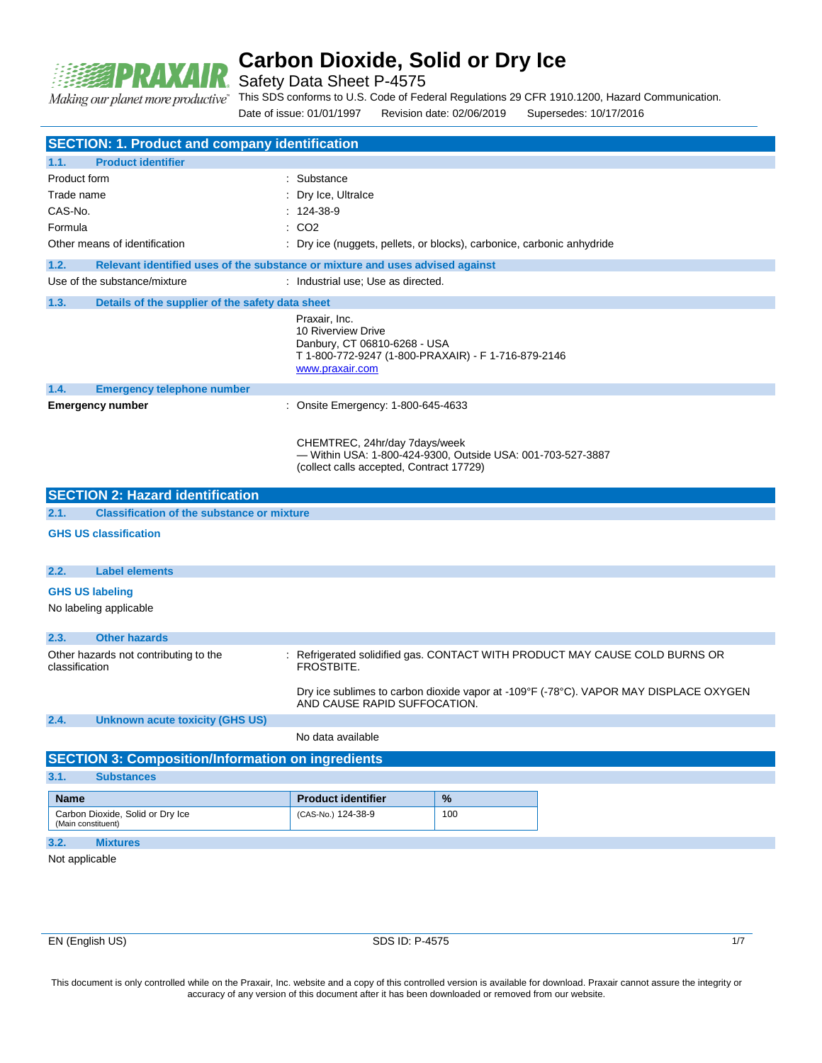

Safety Data Sheet P-4575

Making our planet more productive"

This SDS conforms to U.S. Code of Federal Regulations 29 CFR 1910.1200, Hazard Communication. Date of issue: 01/01/1997 Revision date: 02/06/2019 Supersedes: 10/17/2016

|                    | <b>SECTION: 1. Product and company identification</b>                         |                                                                                                                                               |      |                                                                                       |  |
|--------------------|-------------------------------------------------------------------------------|-----------------------------------------------------------------------------------------------------------------------------------------------|------|---------------------------------------------------------------------------------------|--|
| 1.1.               | <b>Product identifier</b>                                                     |                                                                                                                                               |      |                                                                                       |  |
| Product form       |                                                                               | : Substance                                                                                                                                   |      |                                                                                       |  |
| Trade name         |                                                                               | : Dry Ice, Ultralce                                                                                                                           |      |                                                                                       |  |
| CAS-No.            |                                                                               | $: 124-38-9$                                                                                                                                  |      |                                                                                       |  |
| Formula            |                                                                               | : CO2                                                                                                                                         |      |                                                                                       |  |
|                    | Other means of identification                                                 | : Dry ice (nuggets, pellets, or blocks), carbonice, carbonic anhydride                                                                        |      |                                                                                       |  |
| 1.2.               | Relevant identified uses of the substance or mixture and uses advised against |                                                                                                                                               |      |                                                                                       |  |
|                    | Use of the substance/mixture                                                  | : Industrial use; Use as directed.                                                                                                            |      |                                                                                       |  |
| 1.3.               | Details of the supplier of the safety data sheet                              |                                                                                                                                               |      |                                                                                       |  |
|                    |                                                                               | Praxair, Inc.<br>10 Riverview Drive<br>Danbury, CT 06810-6268 - USA<br>T 1-800-772-9247 (1-800-PRAXAIR) - F 1-716-879-2146<br>www.praxair.com |      |                                                                                       |  |
| 1.4.               | <b>Emergency telephone number</b>                                             |                                                                                                                                               |      |                                                                                       |  |
|                    | <b>Emergency number</b>                                                       | : Onsite Emergency: 1-800-645-4633                                                                                                            |      |                                                                                       |  |
|                    |                                                                               | CHEMTREC, 24hr/day 7days/week<br>- Within USA: 1-800-424-9300, Outside USA: 001-703-527-3887<br>(collect calls accepted, Contract 17729)      |      |                                                                                       |  |
|                    | <b>SECTION 2: Hazard identification</b>                                       |                                                                                                                                               |      |                                                                                       |  |
| 2.1.               | <b>Classification of the substance or mixture</b>                             |                                                                                                                                               |      |                                                                                       |  |
|                    | <b>GHS US classification</b>                                                  |                                                                                                                                               |      |                                                                                       |  |
| 2.2.               | <b>Label elements</b>                                                         |                                                                                                                                               |      |                                                                                       |  |
|                    | <b>GHS US labeling</b>                                                        |                                                                                                                                               |      |                                                                                       |  |
|                    | No labeling applicable                                                        |                                                                                                                                               |      |                                                                                       |  |
| 2.3.               | <b>Other hazards</b>                                                          |                                                                                                                                               |      |                                                                                       |  |
| classification     | Other hazards not contributing to the                                         | FROSTBITE.                                                                                                                                    |      | : Refrigerated solidified gas. CONTACT WITH PRODUCT MAY CAUSE COLD BURNS OR           |  |
|                    |                                                                               | AND CAUSE RAPID SUFFOCATION.                                                                                                                  |      | Dry ice sublimes to carbon dioxide vapor at -109°F (-78°C). VAPOR MAY DISPLACE OXYGEN |  |
| 2.4.               | <b>Unknown acute toxicity (GHS US)</b>                                        |                                                                                                                                               |      |                                                                                       |  |
|                    |                                                                               | No data available                                                                                                                             |      |                                                                                       |  |
|                    | <b>SECTION 3: Composition/Information on ingredients</b>                      |                                                                                                                                               |      |                                                                                       |  |
| 3.1.               | <b>Substances</b>                                                             |                                                                                                                                               |      |                                                                                       |  |
| <b>Name</b>        |                                                                               | <b>Product identifier</b>                                                                                                                     | $\%$ |                                                                                       |  |
| (Main constituent) | Carbon Dioxide, Solid or Dry Ice                                              | (CAS-No.) 124-38-9                                                                                                                            | 100  |                                                                                       |  |
| 3.2.               | <b>Mixtures</b>                                                               |                                                                                                                                               |      |                                                                                       |  |
| Not applicable     |                                                                               |                                                                                                                                               |      |                                                                                       |  |
|                    |                                                                               |                                                                                                                                               |      |                                                                                       |  |
|                    |                                                                               |                                                                                                                                               |      |                                                                                       |  |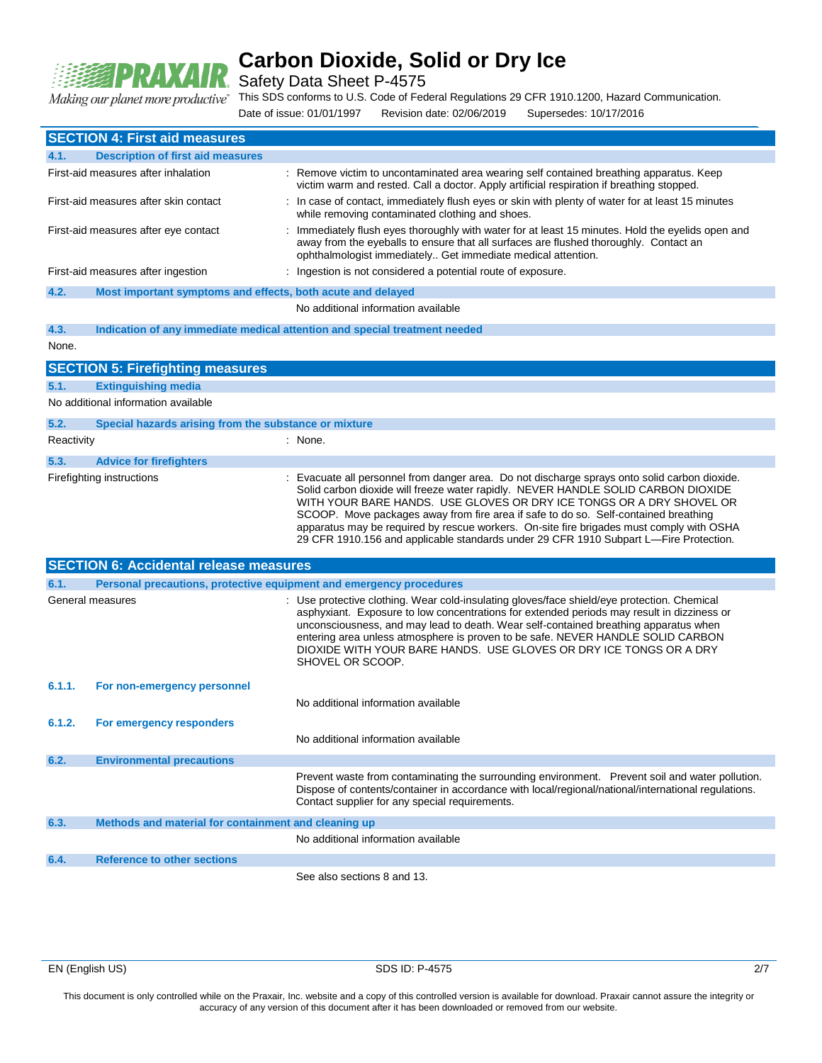

Safety Data Sheet P-4575

Making our planet more productive"

This SDS conforms to U.S. Code of Federal Regulations 29 CFR 1910.1200, Hazard Communication.

Date of issue: 01/01/1997 Revision date: 02/06/2019 Supersedes: 10/17/2016

|                                       | <b>SECTION 4: First aid measures</b>                                |                                                                                                                                                                                                                                                                                                                                                                                                                                                                                                                                      |
|---------------------------------------|---------------------------------------------------------------------|--------------------------------------------------------------------------------------------------------------------------------------------------------------------------------------------------------------------------------------------------------------------------------------------------------------------------------------------------------------------------------------------------------------------------------------------------------------------------------------------------------------------------------------|
| 4.1.                                  | <b>Description of first aid measures</b>                            |                                                                                                                                                                                                                                                                                                                                                                                                                                                                                                                                      |
|                                       | First-aid measures after inhalation                                 | : Remove victim to uncontaminated area wearing self contained breathing apparatus. Keep<br>victim warm and rested. Call a doctor. Apply artificial respiration if breathing stopped.                                                                                                                                                                                                                                                                                                                                                 |
| First-aid measures after skin contact |                                                                     | : In case of contact, immediately flush eyes or skin with plenty of water for at least 15 minutes<br>while removing contaminated clothing and shoes.                                                                                                                                                                                                                                                                                                                                                                                 |
|                                       | First-aid measures after eye contact                                | Immediately flush eyes thoroughly with water for at least 15 minutes. Hold the eyelids open and<br>away from the eyeballs to ensure that all surfaces are flushed thoroughly. Contact an<br>ophthalmologist immediately Get immediate medical attention.                                                                                                                                                                                                                                                                             |
|                                       | First-aid measures after ingestion                                  | : Ingestion is not considered a potential route of exposure.                                                                                                                                                                                                                                                                                                                                                                                                                                                                         |
| 4.2.                                  | Most important symptoms and effects, both acute and delayed         |                                                                                                                                                                                                                                                                                                                                                                                                                                                                                                                                      |
|                                       |                                                                     | No additional information available                                                                                                                                                                                                                                                                                                                                                                                                                                                                                                  |
| 4.3.                                  |                                                                     | Indication of any immediate medical attention and special treatment needed                                                                                                                                                                                                                                                                                                                                                                                                                                                           |
| None.                                 |                                                                     |                                                                                                                                                                                                                                                                                                                                                                                                                                                                                                                                      |
|                                       | <b>SECTION 5: Firefighting measures</b>                             |                                                                                                                                                                                                                                                                                                                                                                                                                                                                                                                                      |
| 5.1.                                  | <b>Extinguishing media</b>                                          |                                                                                                                                                                                                                                                                                                                                                                                                                                                                                                                                      |
|                                       | No additional information available                                 |                                                                                                                                                                                                                                                                                                                                                                                                                                                                                                                                      |
| 5.2.                                  | Special hazards arising from the substance or mixture               |                                                                                                                                                                                                                                                                                                                                                                                                                                                                                                                                      |
| Reactivity                            |                                                                     | : None.                                                                                                                                                                                                                                                                                                                                                                                                                                                                                                                              |
| 5.3.                                  | <b>Advice for firefighters</b>                                      |                                                                                                                                                                                                                                                                                                                                                                                                                                                                                                                                      |
|                                       | Firefighting instructions                                           | Evacuate all personnel from danger area. Do not discharge sprays onto solid carbon dioxide.<br>Solid carbon dioxide will freeze water rapidly. NEVER HANDLE SOLID CARBON DIOXIDE<br>WITH YOUR BARE HANDS. USE GLOVES OR DRY ICE TONGS OR A DRY SHOVEL OR<br>SCOOP. Move packages away from fire area if safe to do so. Self-contained breathing<br>apparatus may be required by rescue workers. On-site fire brigades must comply with OSHA<br>29 CFR 1910.156 and applicable standards under 29 CFR 1910 Subpart L-Fire Protection. |
|                                       | <b>SECTION 6: Accidental release measures</b>                       |                                                                                                                                                                                                                                                                                                                                                                                                                                                                                                                                      |
| 6.1.                                  | Personal precautions, protective equipment and emergency procedures |                                                                                                                                                                                                                                                                                                                                                                                                                                                                                                                                      |
|                                       | General measures                                                    | : Use protective clothing. Wear cold-insulating gloves/face shield/eye protection. Chemical<br>asphyxiant. Exposure to low concentrations for extended periods may result in dizziness or<br>unconsciousness, and may lead to death. Wear self-contained breathing apparatus when<br>entering area unless atmosphere is proven to be safe. NEVER HANDLE SOLID CARBON<br>DIOXIDE WITH YOUR BARE HANDS. USE GLOVES OR DRY ICE TONGS OR A DRY<br>SHOVEL OR SCOOP.                                                                       |
| 6.1.1.                                | For non-emergency personnel                                         | No additional information available                                                                                                                                                                                                                                                                                                                                                                                                                                                                                                  |
| 6.1.2.                                | For emergency responders                                            |                                                                                                                                                                                                                                                                                                                                                                                                                                                                                                                                      |
|                                       |                                                                     | No additional information available                                                                                                                                                                                                                                                                                                                                                                                                                                                                                                  |
| 6.2.                                  | <b>Environmental precautions</b>                                    |                                                                                                                                                                                                                                                                                                                                                                                                                                                                                                                                      |
|                                       |                                                                     | Prevent waste from contaminating the surrounding environment. Prevent soil and water pollution.<br>Dispose of contents/container in accordance with local/regional/national/international regulations.<br>Contact supplier for any special requirements.                                                                                                                                                                                                                                                                             |
| 6.3.                                  | Methods and material for containment and cleaning up                |                                                                                                                                                                                                                                                                                                                                                                                                                                                                                                                                      |
|                                       |                                                                     | No additional information available                                                                                                                                                                                                                                                                                                                                                                                                                                                                                                  |
| 6.4.                                  | <b>Reference to other sections</b>                                  |                                                                                                                                                                                                                                                                                                                                                                                                                                                                                                                                      |
|                                       |                                                                     | See also sections 8 and 13.                                                                                                                                                                                                                                                                                                                                                                                                                                                                                                          |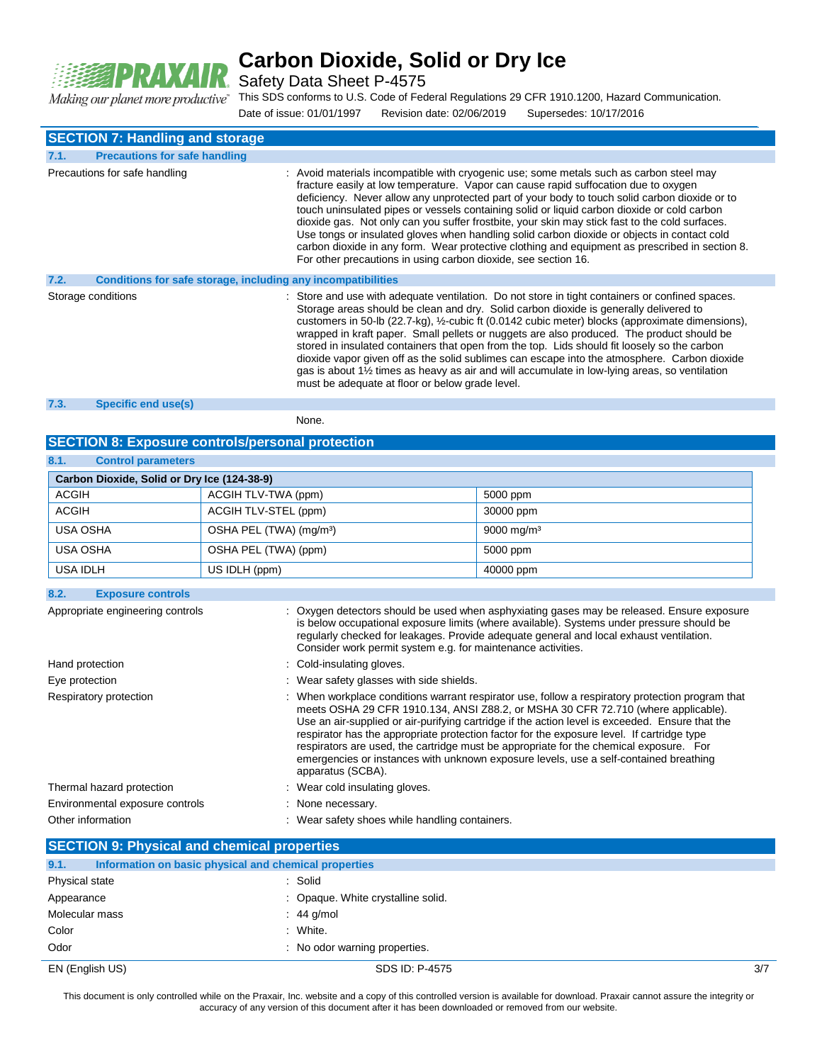

Safety Data Sheet P-4575

This SDS conforms to U.S. Code of Federal Regulations 29 CFR 1910.1200, Hazard Communication. Making our planet more productive"

Date of issue: 01/01/1997 Revision date: 02/06/2019 Supersedes: 10/17/2016

|      | <b>SECTION 7: Handling and storage</b>                       |                                                                                                                                                                                                                                                                                                                                                                                                                                                                                                                                                                                                                                                                                                                                                          |
|------|--------------------------------------------------------------|----------------------------------------------------------------------------------------------------------------------------------------------------------------------------------------------------------------------------------------------------------------------------------------------------------------------------------------------------------------------------------------------------------------------------------------------------------------------------------------------------------------------------------------------------------------------------------------------------------------------------------------------------------------------------------------------------------------------------------------------------------|
| 7.1. | <b>Precautions for safe handling</b>                         |                                                                                                                                                                                                                                                                                                                                                                                                                                                                                                                                                                                                                                                                                                                                                          |
|      | Precautions for safe handling                                | : Avoid materials incompatible with cryogenic use; some metals such as carbon steel may<br>fracture easily at low temperature. Vapor can cause rapid suffocation due to oxygen<br>deficiency. Never allow any unprotected part of your body to touch solid carbon dioxide or to<br>touch uninsulated pipes or vessels containing solid or liquid carbon dioxide or cold carbon<br>dioxide gas. Not only can you suffer frostbite, your skin may stick fast to the cold surfaces.<br>Use tongs or insulated gloves when handling solid carbon dioxide or objects in contact cold<br>carbon dioxide in any form. Wear protective clothing and equipment as prescribed in section 8.<br>For other precautions in using carbon dioxide, see section 16.      |
| 7.2. | Conditions for safe storage, including any incompatibilities |                                                                                                                                                                                                                                                                                                                                                                                                                                                                                                                                                                                                                                                                                                                                                          |
|      | Storage conditions                                           | : Store and use with adequate ventilation. Do not store in tight containers or confined spaces.<br>Storage areas should be clean and dry. Solid carbon dioxide is generally delivered to<br>customers in 50-lb (22.7-kg), 1/2-cubic ft (0.0142 cubic meter) blocks (approximate dimensions),<br>wrapped in kraft paper. Small pellets or nuggets are also produced. The product should be<br>stored in insulated containers that open from the top. Lids should fit loosely so the carbon<br>dioxide vapor given off as the solid sublimes can escape into the atmosphere. Carbon dioxide<br>gas is about $1\frac{1}{2}$ times as heavy as air and will accumulate in low-lying areas, so ventilation<br>must be adequate at floor or below grade level. |
| 7.3. | Specific end use(s)                                          |                                                                                                                                                                                                                                                                                                                                                                                                                                                                                                                                                                                                                                                                                                                                                          |
|      |                                                              | None.                                                                                                                                                                                                                                                                                                                                                                                                                                                                                                                                                                                                                                                                                                                                                    |

#### **SECTION 8: Exposure controls/personal protection**

| 8.1.<br><b>Control parameters</b>                   |                                     |                                                                                                                                                                                                                                                                                                                                                                                                                                                                                                                                                                                              |                        |  |
|-----------------------------------------------------|-------------------------------------|----------------------------------------------------------------------------------------------------------------------------------------------------------------------------------------------------------------------------------------------------------------------------------------------------------------------------------------------------------------------------------------------------------------------------------------------------------------------------------------------------------------------------------------------------------------------------------------------|------------------------|--|
| Carbon Dioxide, Solid or Dry Ice (124-38-9)         |                                     |                                                                                                                                                                                                                                                                                                                                                                                                                                                                                                                                                                                              |                        |  |
| <b>ACGIH</b>                                        | ACGIH TLV-TWA (ppm)                 |                                                                                                                                                                                                                                                                                                                                                                                                                                                                                                                                                                                              | 5000 ppm               |  |
| <b>ACGIH</b>                                        | ACGIH TLV-STEL (ppm)                |                                                                                                                                                                                                                                                                                                                                                                                                                                                                                                                                                                                              | 30000 ppm              |  |
| USA OSHA                                            | OSHA PEL (TWA) (mg/m <sup>3</sup> ) |                                                                                                                                                                                                                                                                                                                                                                                                                                                                                                                                                                                              | 9000 mg/m <sup>3</sup> |  |
| <b>USA OSHA</b>                                     | OSHA PEL (TWA) (ppm)                |                                                                                                                                                                                                                                                                                                                                                                                                                                                                                                                                                                                              | 5000 ppm               |  |
| USA IDLH                                            | US IDLH (ppm)                       |                                                                                                                                                                                                                                                                                                                                                                                                                                                                                                                                                                                              | 40000 ppm              |  |
| 8.2.<br><b>Exposure controls</b>                    |                                     |                                                                                                                                                                                                                                                                                                                                                                                                                                                                                                                                                                                              |                        |  |
| Appropriate engineering controls<br>Hand protection |                                     | : Oxygen detectors should be used when asphyxiating gases may be released. Ensure exposure<br>is below occupational exposure limits (where available). Systems under pressure should be<br>regularly checked for leakages. Provide adequate general and local exhaust ventilation.<br>Consider work permit system e.g. for maintenance activities.<br>: Cold-insulating gloves.                                                                                                                                                                                                              |                        |  |
|                                                     |                                     |                                                                                                                                                                                                                                                                                                                                                                                                                                                                                                                                                                                              |                        |  |
| Eye protection                                      |                                     | : Wear safety glasses with side shields.                                                                                                                                                                                                                                                                                                                                                                                                                                                                                                                                                     |                        |  |
| Respiratory protection                              |                                     | When workplace conditions warrant respirator use, follow a respiratory protection program that<br>meets OSHA 29 CFR 1910.134, ANSI Z88.2, or MSHA 30 CFR 72.710 (where applicable).<br>Use an air-supplied or air-purifying cartridge if the action level is exceeded. Ensure that the<br>respirator has the appropriate protection factor for the exposure level. If cartridge type<br>respirators are used, the cartridge must be appropriate for the chemical exposure. For<br>emergencies or instances with unknown exposure levels, use a self-contained breathing<br>apparatus (SCBA). |                        |  |
| Thermal hazard protection                           |                                     | : Wear cold insulating gloves.                                                                                                                                                                                                                                                                                                                                                                                                                                                                                                                                                               |                        |  |
| Environmental exposure controls                     |                                     | None necessary.                                                                                                                                                                                                                                                                                                                                                                                                                                                                                                                                                                              |                        |  |
| Other information                                   |                                     | : Wear safety shoes while handling containers.                                                                                                                                                                                                                                                                                                                                                                                                                                                                                                                                               |                        |  |

|                 | <b>SECTION 9: Physical and chemical properties</b>    |     |  |  |  |
|-----------------|-------------------------------------------------------|-----|--|--|--|
| 9.1.            | Information on basic physical and chemical properties |     |  |  |  |
| Physical state  | : Solid                                               |     |  |  |  |
| Appearance      | : Opaque. White crystalline solid.                    |     |  |  |  |
| Molecular mass  | $\therefore$ 44 g/mol                                 |     |  |  |  |
| Color           | : White.                                              |     |  |  |  |
| Odor            | : No odor warning properties.                         |     |  |  |  |
| EN (English US) | SDS ID: P-4575                                        | 3/7 |  |  |  |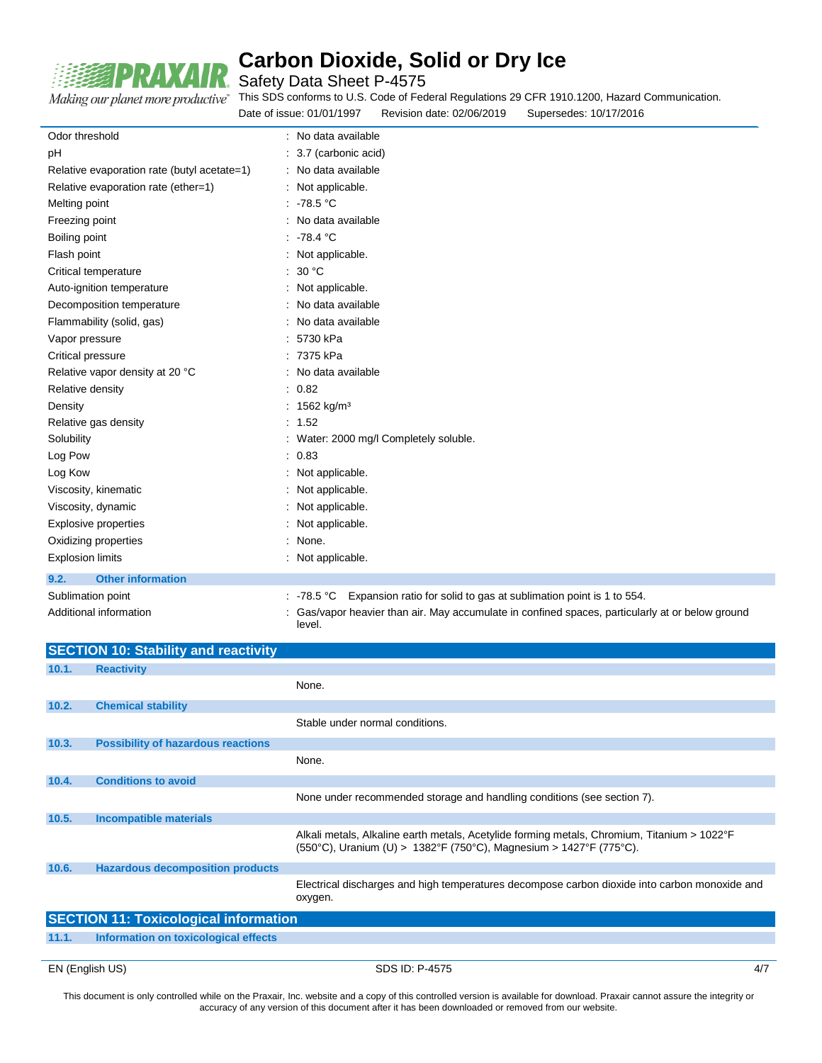

Safety Data Sheet P-4575

Making our planet more productive"

This SDS conforms to U.S. Code of Federal Regulations 29 CFR 1910.1200, Hazard Communication. Date of issue: 01/01/1997 Revision date: 02/06/2019 Supersedes: 10/17/2016

| Odor threshold                              | : No data available                                                                                      |
|---------------------------------------------|----------------------------------------------------------------------------------------------------------|
| pH                                          | : 3.7 (carbonic acid)                                                                                    |
| Relative evaporation rate (butyl acetate=1) | : No data available                                                                                      |
| Relative evaporation rate (ether=1)         | : Not applicable.                                                                                        |
| Melting point                               | : -78.5 $^{\circ}$ C                                                                                     |
| Freezing point                              | : No data available                                                                                      |
| Boiling point                               | .78.4 °C                                                                                                 |
| Flash point                                 | : Not applicable.                                                                                        |
| Critical temperature                        | : $30 °C$                                                                                                |
| Auto-ignition temperature                   | : Not applicable.                                                                                        |
| Decomposition temperature                   | : No data available                                                                                      |
| Flammability (solid, gas)                   | : No data available                                                                                      |
| Vapor pressure                              | 5730 kPa                                                                                                 |
| Critical pressure                           | : 7375 kPa                                                                                               |
| Relative vapor density at 20 °C             | : No data available                                                                                      |
| Relative density                            | : 0.82                                                                                                   |
| Density                                     | : 1562 kg/m <sup>3</sup>                                                                                 |
| Relative gas density                        | : 1.52                                                                                                   |
| Solubility                                  | : Water: 2000 mg/l Completely soluble.                                                                   |
| Log Pow                                     | : 0.83                                                                                                   |
| Log Kow                                     | : Not applicable.                                                                                        |
| Viscosity, kinematic                        | : Not applicable.                                                                                        |
| Viscosity, dynamic                          | : Not applicable.                                                                                        |
| <b>Explosive properties</b>                 | : Not applicable.                                                                                        |
| Oxidizing properties                        | : None.                                                                                                  |
| <b>Explosion limits</b>                     | : Not applicable.                                                                                        |
| <b>Other information</b><br>9.2.            |                                                                                                          |
| Sublimation point                           | Expansion ratio for solid to gas at sublimation point is 1 to 554.<br>: $-78.5 °C$                       |
| Additional information                      | Gas/vapor heavier than air. May accumulate in confined spaces, particularly at or below ground<br>level. |

|       | <b>SECTION 10: Stability and reactivity</b>  |                                                                                                                                                                   |     |
|-------|----------------------------------------------|-------------------------------------------------------------------------------------------------------------------------------------------------------------------|-----|
| 10.1. | <b>Reactivity</b>                            |                                                                                                                                                                   |     |
|       |                                              | None.                                                                                                                                                             |     |
| 10.2. | <b>Chemical stability</b>                    |                                                                                                                                                                   |     |
|       |                                              | Stable under normal conditions.                                                                                                                                   |     |
| 10.3. | <b>Possibility of hazardous reactions</b>    |                                                                                                                                                                   |     |
|       |                                              | None.                                                                                                                                                             |     |
| 10.4. | <b>Conditions to avoid</b>                   |                                                                                                                                                                   |     |
|       |                                              | None under recommended storage and handling conditions (see section 7).                                                                                           |     |
| 10.5. | <b>Incompatible materials</b>                |                                                                                                                                                                   |     |
|       |                                              | Alkali metals, Alkaline earth metals, Acetylide forming metals, Chromium, Titanium > 1022°F<br>(550°C), Uranium (U) > 1382°F (750°C), Magnesium > 1427°F (775°C). |     |
| 10.6. | <b>Hazardous decomposition products</b>      |                                                                                                                                                                   |     |
|       |                                              | Electrical discharges and high temperatures decompose carbon dioxide into carbon monoxide and<br>oxygen.                                                          |     |
|       | <b>SECTION 11: Toxicological information</b> |                                                                                                                                                                   |     |
| 11.1. | Information on toxicological effects         |                                                                                                                                                                   |     |
|       |                                              |                                                                                                                                                                   |     |
|       | EN (English US)                              | SDS ID: P-4575                                                                                                                                                    | 4/7 |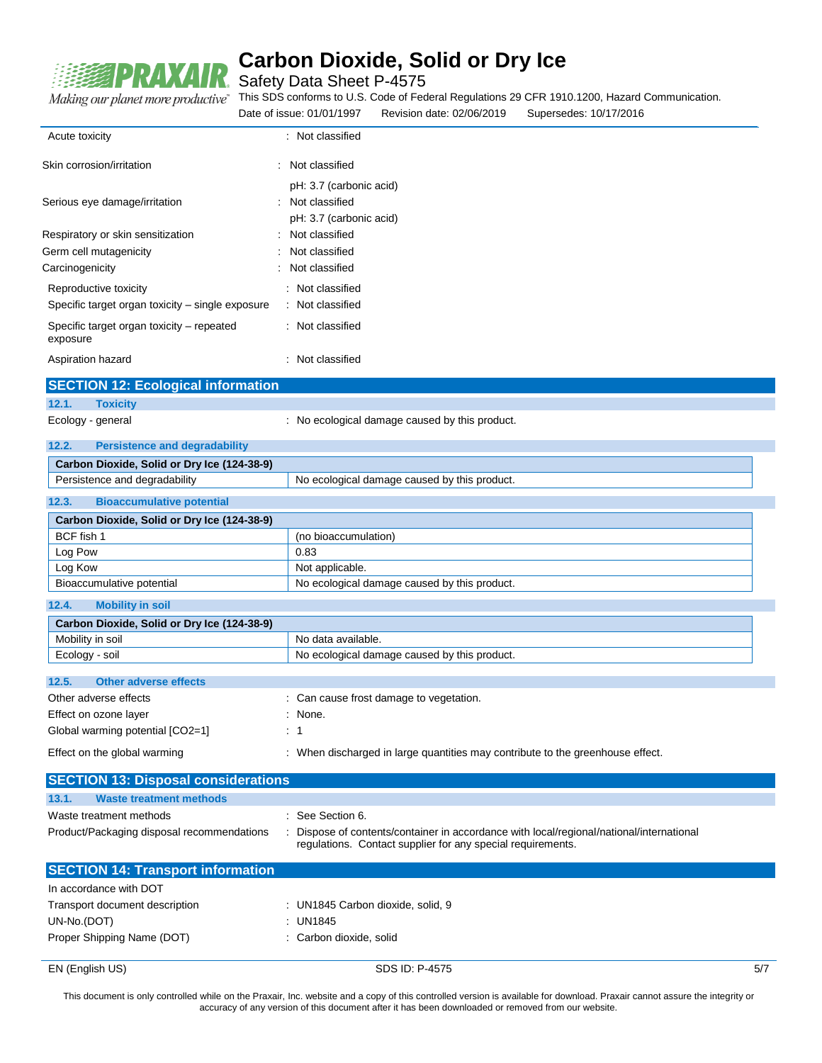

Safety Data Sheet P-4575

This SDS conforms to U.S. Code of Federal Regulations 29 CFR 1910.1200, Hazard Communication.

|                                                       | Date of issue: 01/01/1997                                              | Revision date: 02/06/2019                                   | Supersedes: 10/17/2016                                                                   |  |
|-------------------------------------------------------|------------------------------------------------------------------------|-------------------------------------------------------------|------------------------------------------------------------------------------------------|--|
| Acute toxicity                                        | : Not classified                                                       |                                                             |                                                                                          |  |
| Skin corrosion/irritation                             | : Not classified                                                       |                                                             |                                                                                          |  |
| Serious eye damage/irritation                         | pH: 3.7 (carbonic acid)<br>: Not classified<br>pH: 3.7 (carbonic acid) |                                                             |                                                                                          |  |
| Respiratory or skin sensitization                     | Not classified                                                         |                                                             |                                                                                          |  |
| Germ cell mutagenicity                                | Not classified                                                         |                                                             |                                                                                          |  |
| Carcinogenicity                                       | Not classified                                                         |                                                             |                                                                                          |  |
| Reproductive toxicity                                 | : Not classified                                                       |                                                             |                                                                                          |  |
| Specific target organ toxicity - single exposure      | : Not classified                                                       |                                                             |                                                                                          |  |
| Specific target organ toxicity - repeated<br>exposure | : Not classified                                                       |                                                             |                                                                                          |  |
| Aspiration hazard                                     | : Not classified                                                       |                                                             |                                                                                          |  |
| <b>SECTION 12: Ecological information</b>             |                                                                        |                                                             |                                                                                          |  |
| 12.1.<br><b>Toxicity</b>                              |                                                                        |                                                             |                                                                                          |  |
| Ecology - general                                     |                                                                        | : No ecological damage caused by this product.              |                                                                                          |  |
| 12.2.<br><b>Persistence and degradability</b>         |                                                                        |                                                             |                                                                                          |  |
| Carbon Dioxide, Solid or Dry Ice (124-38-9)           |                                                                        |                                                             |                                                                                          |  |
| Persistence and degradability                         |                                                                        | No ecological damage caused by this product.                |                                                                                          |  |
| 12.3.<br><b>Bioaccumulative potential</b>             |                                                                        |                                                             |                                                                                          |  |
| Carbon Dioxide, Solid or Dry Ice (124-38-9)           |                                                                        |                                                             |                                                                                          |  |
| BCF fish 1                                            | (no bioaccumulation)                                                   |                                                             |                                                                                          |  |
| Log Pow                                               | 0.83                                                                   |                                                             |                                                                                          |  |
| Log Kow                                               | Not applicable.                                                        |                                                             |                                                                                          |  |
| Bioaccumulative potential                             |                                                                        | No ecological damage caused by this product.                |                                                                                          |  |
| <b>Mobility in soil</b><br>12.4.                      |                                                                        |                                                             |                                                                                          |  |
| Carbon Dioxide, Solid or Dry Ice (124-38-9)           |                                                                        |                                                             |                                                                                          |  |
| Mobility in soil                                      | No data available.                                                     |                                                             |                                                                                          |  |
| Ecology - soil                                        |                                                                        | No ecological damage caused by this product.                |                                                                                          |  |
| 12.5.<br><b>Other adverse effects</b>                 |                                                                        |                                                             |                                                                                          |  |
| Other adverse effects                                 |                                                                        | : Can cause frost damage to vegetation.                     |                                                                                          |  |
| Effect on ozone layer                                 | : None.                                                                |                                                             |                                                                                          |  |
| Global warming potential [CO2=1]                      | : 1                                                                    |                                                             |                                                                                          |  |
| Effect on the global warming                          |                                                                        |                                                             | : When discharged in large quantities may contribute to the greenhouse effect.           |  |
| <b>SECTION 13: Disposal considerations</b>            |                                                                        |                                                             |                                                                                          |  |
| <b>Waste treatment methods</b><br>13.1.               |                                                                        |                                                             |                                                                                          |  |
| Waste treatment methods                               | : See Section 6.                                                       |                                                             |                                                                                          |  |
| Product/Packaging disposal recommendations            |                                                                        | regulations. Contact supplier for any special requirements. | : Dispose of contents/container in accordance with local/regional/national/international |  |
| <b>SECTION 14: Transport information</b>              |                                                                        |                                                             |                                                                                          |  |
| In accordance with DOT                                |                                                                        |                                                             |                                                                                          |  |
| Transport document description                        | : UN1845 Carbon dioxide, solid, 9                                      |                                                             |                                                                                          |  |
| UN-No.(DOT)                                           | : UN1845                                                               |                                                             |                                                                                          |  |

- Proper Shipping Name (DOT) : Carbon dioxide, solid
- EN (English US) 5/7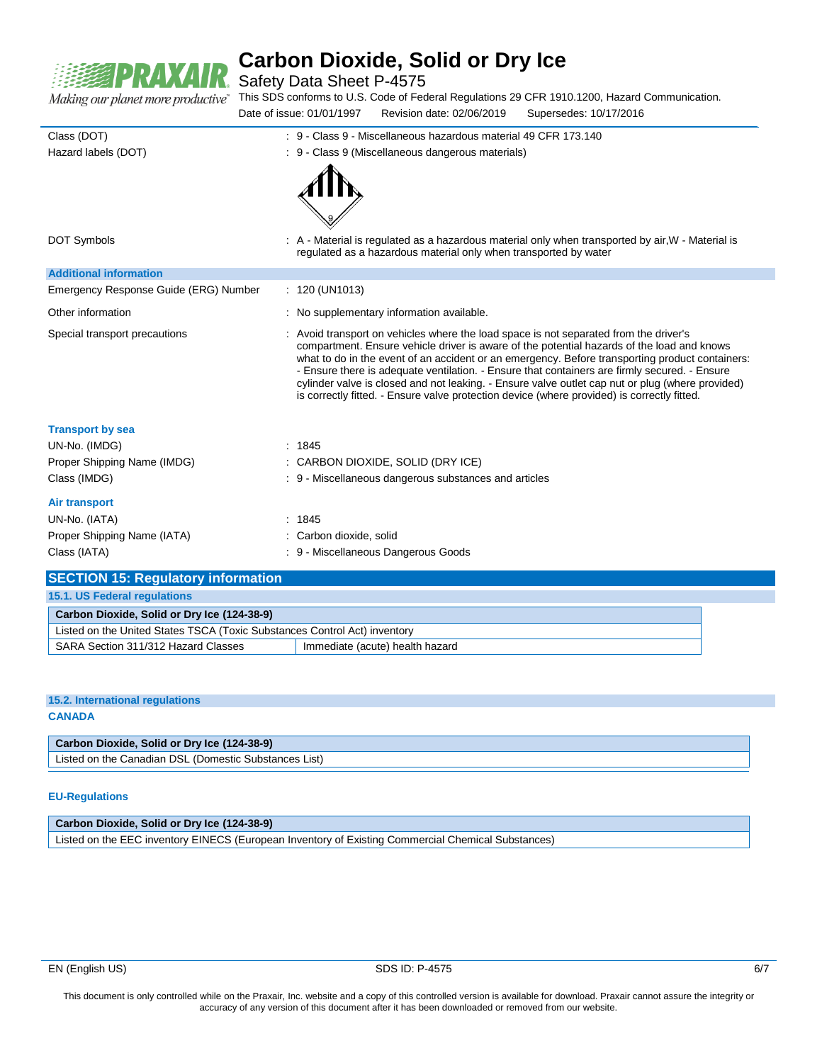

Safety Data Sheet P-4575

This SDS conforms to U.S. Code of Federal Regulations 29 CFR 1910.1200, Hazard Communication. Date of issue: 01/01/1997 Revision date: 02/06/2019 Supersedes: 10/17/2016

| Class (DOT)                               | : 9 - Class 9 - Miscellaneous hazardous material 49 CFR 173.140                                                                                                                                                                                                                                                                                                                                                                                                                                                                                                                            |
|-------------------------------------------|--------------------------------------------------------------------------------------------------------------------------------------------------------------------------------------------------------------------------------------------------------------------------------------------------------------------------------------------------------------------------------------------------------------------------------------------------------------------------------------------------------------------------------------------------------------------------------------------|
| Hazard labels (DOT)                       | : 9 - Class 9 (Miscellaneous dangerous materials)                                                                                                                                                                                                                                                                                                                                                                                                                                                                                                                                          |
| <b>DOT Symbols</b>                        | . A - Material is regulated as a hazardous material only when transported by air, W - Material is<br>regulated as a hazardous material only when transported by water                                                                                                                                                                                                                                                                                                                                                                                                                      |
| <b>Additional information</b>             |                                                                                                                                                                                                                                                                                                                                                                                                                                                                                                                                                                                            |
| Emergency Response Guide (ERG) Number     | : 120 (UN1013)                                                                                                                                                                                                                                                                                                                                                                                                                                                                                                                                                                             |
| Other information                         | : No supplementary information available.                                                                                                                                                                                                                                                                                                                                                                                                                                                                                                                                                  |
| Special transport precautions             | : Avoid transport on vehicles where the load space is not separated from the driver's<br>compartment. Ensure vehicle driver is aware of the potential hazards of the load and knows<br>what to do in the event of an accident or an emergency. Before transporting product containers:<br>- Ensure there is adequate ventilation. - Ensure that containers are firmly secured. - Ensure<br>cylinder valve is closed and not leaking. - Ensure valve outlet cap nut or plug (where provided)<br>is correctly fitted. - Ensure valve protection device (where provided) is correctly fitted. |
| <b>Transport by sea</b>                   |                                                                                                                                                                                                                                                                                                                                                                                                                                                                                                                                                                                            |
| UN-No. (IMDG)                             | : 1845                                                                                                                                                                                                                                                                                                                                                                                                                                                                                                                                                                                     |
| Proper Shipping Name (IMDG)               | : CARBON DIOXIDE, SOLID (DRY ICE)                                                                                                                                                                                                                                                                                                                                                                                                                                                                                                                                                          |
| Class (IMDG)                              | : 9 - Miscellaneous dangerous substances and articles                                                                                                                                                                                                                                                                                                                                                                                                                                                                                                                                      |
| Air transport                             |                                                                                                                                                                                                                                                                                                                                                                                                                                                                                                                                                                                            |
| UN-No. (IATA)                             | : 1845                                                                                                                                                                                                                                                                                                                                                                                                                                                                                                                                                                                     |
| Proper Shipping Name (IATA)               | : Carbon dioxide, solid                                                                                                                                                                                                                                                                                                                                                                                                                                                                                                                                                                    |
| Class (IATA)                              | : 9 - Miscellaneous Dangerous Goods                                                                                                                                                                                                                                                                                                                                                                                                                                                                                                                                                        |
| <b>SECTION 15: Regulatory information</b> |                                                                                                                                                                                                                                                                                                                                                                                                                                                                                                                                                                                            |

| 15.1. US Federal regulations                                              |                                 |  |  |  |
|---------------------------------------------------------------------------|---------------------------------|--|--|--|
| Carbon Dioxide, Solid or Dry Ice (124-38-9)                               |                                 |  |  |  |
| Listed on the United States TSCA (Toxic Substances Control Act) inventory |                                 |  |  |  |
| SARA Section 311/312 Hazard Classes                                       | Immediate (acute) health hazard |  |  |  |

| 15.2. International regulations             |  |
|---------------------------------------------|--|
| <b>CANADA</b>                               |  |
|                                             |  |
| Carbon Dioxide, Solid or Dry Ice (124-38-9) |  |

Listed on the Canadian DSL (Domestic Substances List)

#### **EU-Regulations**

#### **Carbon Dioxide, Solid or Dry Ice (124-38-9)**

Listed on the EEC inventory EINECS (European Inventory of Existing Commercial Chemical Substances)